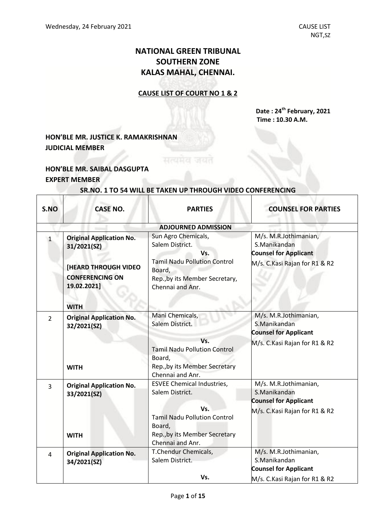# **NATIONAL GREEN TRIBUNAL SOUTHERN ZONE KALAS MAHAL, CHENNAI.**

#### **CAUSE LIST OF COURT NO 1 & 2**

**Date : 24 th February, 2021 Time : 10.30 A.M.**

## **HON'BLE MR. JUSTICE K. RAMAKRISHNAN JUDICIAL MEMBER**

### **HON'BLE MR. SAIBAL DASGUPTA EXPERT MEMBER**

| S.NO           | <b>CASE NO.</b>                                                                                                                       | <b>PARTIES</b>                                                                                                                                                    | <b>COUNSEL FOR PARTIES</b>                                                                             |
|----------------|---------------------------------------------------------------------------------------------------------------------------------------|-------------------------------------------------------------------------------------------------------------------------------------------------------------------|--------------------------------------------------------------------------------------------------------|
|                |                                                                                                                                       | <b>ADJOURNED ADMISSION</b>                                                                                                                                        |                                                                                                        |
| $\mathbf{1}$   | <b>Original Application No.</b><br>31/2021(SZ)<br><b>[HEARD THROUGH VIDEO</b><br><b>CONFERENCING ON</b><br>19.02.2021]<br><b>WITH</b> | Sun Agro Chemicals,<br>Salem District.<br>Vs.<br><b>Tamil Nadu Pollution Control</b><br>Board,<br>Rep., by its Member Secretary,<br>Chennai and Anr.              | M/s. M.R.Jothimanian,<br>S.Manikandan<br><b>Counsel for Applicant</b><br>M/s. C.Kasi Rajan for R1 & R2 |
| $\overline{2}$ | <b>Original Application No.</b><br>32/2021(SZ)<br><b>WITH</b>                                                                         | Mani Chemicals,<br>Salem District.<br>Vs.<br><b>Tamil Nadu Pollution Control</b><br>Board,<br>Rep., by its Member Secretary<br>Chennai and Anr.                   | M/s. M.R.Jothimanian,<br>S.Manikandan<br><b>Counsel for Applicant</b><br>M/s. C.Kasi Rajan for R1 & R2 |
| $\overline{3}$ | <b>Original Application No.</b><br>33/2021(SZ)<br><b>WITH</b>                                                                         | <b>ESVEE Chemical Industries,</b><br>Salem District.<br>Vs.<br><b>Tamil Nadu Pollution Control</b><br>Board,<br>Rep., by its Member Secretary<br>Chennai and Anr. | M/s. M.R.Jothimanian,<br>S.Manikandan<br><b>Counsel for Applicant</b><br>M/s. C.Kasi Rajan for R1 & R2 |
| 4              | <b>Original Application No.</b><br>34/2021(SZ)                                                                                        | T.Chendur Chemicals,<br>Salem District.<br>Vs.                                                                                                                    | M/s. M.R.Jothimanian,<br>S.Manikandan<br><b>Counsel for Applicant</b><br>M/s. C.Kasi Rajan for R1 & R2 |

### **SR.NO. 1 TO 54 WILL BE TAKEN UP THROUGH VIDEO CONFERENCING**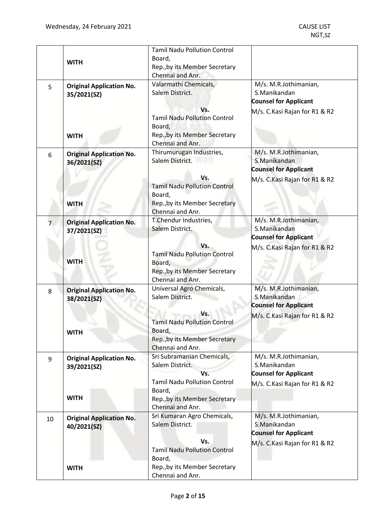|    | <b>WITH</b>                                    | <b>Tamil Nadu Pollution Control</b><br>Board,<br>Rep., by its Member Secretary<br>Chennai and Anr.        |                                                                                                         |
|----|------------------------------------------------|-----------------------------------------------------------------------------------------------------------|---------------------------------------------------------------------------------------------------------|
| 5  | <b>Original Application No.</b><br>35/2021(SZ) | Valarmathi Chemicals,<br>Salem District.                                                                  | M/s. M.R.Jothimanian,<br>S.Manikandan<br><b>Counsel for Applicant</b>                                   |
|    | <b>WITH</b>                                    | Vs.<br><b>Tamil Nadu Pollution Control</b><br>Board,<br>Rep., by its Member Secretary<br>Chennai and Anr. | M/s. C.Kasi Rajan for R1 & R2                                                                           |
| 6  | <b>Original Application No.</b><br>36/2021(SZ) | Thirumurugan Industries,<br>Salem District.                                                               | M/s. M.R.Jothimanian,<br>S.Manikandan<br><b>Counsel for Applicant</b>                                   |
|    | <b>WITH</b>                                    | Vs.<br><b>Tamil Nadu Pollution Control</b><br>Board,<br>Rep., by its Member Secretary<br>Chennai and Anr. | M/s. C. Kasi Rajan for R1 & R2                                                                          |
| 7  | <b>Original Application No.</b><br>37/2021(SZ) | T.Chendur Industries,<br>Salem District.                                                                  | M/s. M.R.Jothimanian,<br>S.Manikandan<br><b>Counsel for Applicant</b>                                   |
|    | <b>WITH</b>                                    | Vs.<br><b>Tamil Nadu Pollution Control</b><br>Board,<br>Rep., by its Member Secretary<br>Chennai and Anr. | M/s. C.Kasi Rajan for R1 & R2                                                                           |
| 8  | <b>Original Application No.</b><br>38/2021(SZ) | Universal Agro Chemicals,<br>Salem District.                                                              | M/s. M.R.Jothimanian,<br>S.Manikandan<br><b>Counsel for Applicant</b>                                   |
|    | <b>WITH</b>                                    | Vs.<br><b>Tamil Nadu Pollution Control</b><br>Board,<br>Rep., by its Member Secretary<br>Chennai and Anr. | M/s. C.Kasi Rajan for R1 & R2                                                                           |
| 9  | <b>Original Application No.</b><br>39/2021(SZ) | Sri Subramanian Chemicals,<br>Salem District.<br>Vs.<br><b>Tamil Nadu Pollution Control</b>               | M/s. M.R.Jothimanian,<br>S.Manikandan<br><b>Counsel for Applicant</b><br>M/s. C. Kasi Rajan for R1 & R2 |
|    | <b>WITH</b>                                    | Board,<br>Rep., by its Member Secretary<br>Chennai and Anr.                                               |                                                                                                         |
| 10 | <b>Original Application No.</b><br>40/2021(SZ) | Sri Kumaran Agro Chemicals,<br>Salem District.                                                            | M/s. M.R.Jothimanian,<br>S.Manikandan<br><b>Counsel for Applicant</b>                                   |
|    |                                                | Vs.<br><b>Tamil Nadu Pollution Control</b><br>Board,                                                      | M/s. C.Kasi Rajan for R1 & R2                                                                           |
|    | <b>WITH</b>                                    | Rep., by its Member Secretary<br>Chennai and Anr.                                                         |                                                                                                         |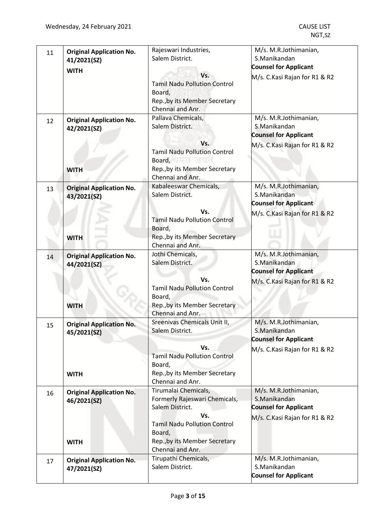| 11 | <b>Original Application No.</b><br>41/2021(SZ)                | Rajeswari Industries,<br>Salem District.                                                                                                                                                                                                                    | M/s. M.R.Jothimanian,<br>S.Manikandan<br><b>Counsel for Applicant</b>                                   |
|----|---------------------------------------------------------------|-------------------------------------------------------------------------------------------------------------------------------------------------------------------------------------------------------------------------------------------------------------|---------------------------------------------------------------------------------------------------------|
|    | <b>WITH</b>                                                   | Vs.<br><b>Tamil Nadu Pollution Control</b><br>Board,<br>Rep., by its Member Secretary<br>Chennai and Anr.                                                                                                                                                   | M/s. C. Kasi Rajan for R1 & R2                                                                          |
| 12 | <b>Original Application No.</b><br>42/2021(SZ)<br><b>WITH</b> | Pallava Chemicals,<br>Salem District.<br>Vs.<br><b>Tamil Nadu Pollution Control</b><br>Board, and the state of the state of the state of the state of the state of the state of the state of the state<br>Rep., by its Member Secretary<br>Chennai and Anr. | M/s. M.R.Jothimanian,<br>S.Manikandan<br><b>Counsel for Applicant</b><br>M/s. C.Kasi Rajan for R1 & R2  |
| 13 | <b>Original Application No.</b><br>43/2021(SZ)<br><b>WITH</b> | Kabaleeswar Chemicals,<br>Salem District.<br>Vs.<br><b>Tamil Nadu Pollution Control</b><br>Board,<br>Rep., by its Member Secretary<br>Chennai and Anr.                                                                                                      | M/s. M.R.Jothimanian,<br>S.Manikandan<br><b>Counsel for Applicant</b><br>M/s. C.Kasi Rajan for R1 & R2  |
| 14 | <b>Original Application No.</b><br>44/2021(SZ)<br><b>WITH</b> | Jothi Chemicals,<br>Salem District.<br>Vs.<br><b>Tamil Nadu Pollution Control</b><br>Board,<br>Rep., by its Member Secretary<br>Chennai and Anr.                                                                                                            | M/s. M.R.Jothimanian,<br>S.Manikandan<br><b>Counsel for Applicant</b><br>M/s. C. Kasi Rajan for R1 & R2 |
| 15 | <b>Original Application No.</b><br>45/2021(SZ)<br><b>WITH</b> | Sreenivas Chemicals Unit II,<br>Salem District.<br>Vs.<br><b>Tamil Nadu Pollution Control</b><br>Board,<br>Rep., by its Member Secretary<br>Chennai and Anr.                                                                                                | M/s. M.R.Jothimanian,<br>S.Manikandan<br><b>Counsel for Applicant</b><br>M/s. C.Kasi Rajan for R1 & R2  |
| 16 | <b>Original Application No.</b><br>46/2021(SZ)<br><b>WITH</b> | Tirumalai Chemicals,<br>Formerly Rajeswari Chemicals,<br>Salem District.<br>Vs.<br><b>Tamil Nadu Pollution Control</b><br>Board,<br>Rep., by its Member Secretary<br>Chennai and Anr.                                                                       | M/s. M.R.Jothimanian,<br>S.Manikandan<br><b>Counsel for Applicant</b><br>M/s. C. Kasi Rajan for R1 & R2 |
| 17 | <b>Original Application No.</b><br>47/2021(SZ)                | Tirupathi Chemicals,<br>Salem District.                                                                                                                                                                                                                     | M/s. M.R.Jothimanian,<br>S.Manikandan<br><b>Counsel for Applicant</b>                                   |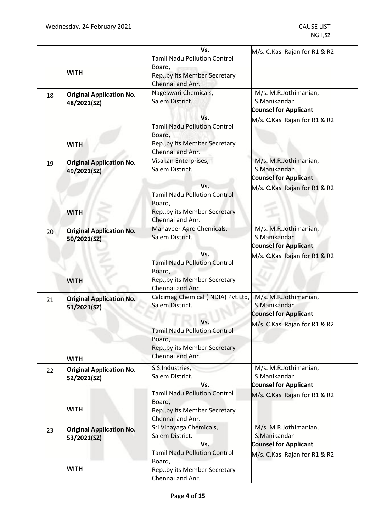|    |                                                | Vs.                                                                                                       | M/s. C.Kasi Rajan for R1 & R2                                                                          |
|----|------------------------------------------------|-----------------------------------------------------------------------------------------------------------|--------------------------------------------------------------------------------------------------------|
|    | <b>WITH</b>                                    | <b>Tamil Nadu Pollution Control</b><br>Board,<br>Rep., by its Member Secretary                            |                                                                                                        |
|    |                                                | Chennai and Anr.                                                                                          |                                                                                                        |
| 18 | <b>Original Application No.</b><br>48/2021(SZ) | Nageswari Chemicals,<br>Salem District.                                                                   | M/s. M.R.Jothimanian,<br>S.Manikandan<br><b>Counsel for Applicant</b>                                  |
|    | <b>WITH</b>                                    | Vs.<br><b>Tamil Nadu Pollution Control</b><br>Board,<br>Rep., by its Member Secretary                     | M/s. C.Kasi Rajan for R1 & R2                                                                          |
|    |                                                | Chennai and Anr.                                                                                          |                                                                                                        |
| 19 | <b>Original Application No.</b><br>49/2021(SZ) | Visakan Enterprises,<br>Salem District.                                                                   | M/s. M.R.Jothimanian,<br>S.Manikandan<br><b>Counsel for Applicant</b>                                  |
|    | <b>WITH</b>                                    | Vs.<br><b>Tamil Nadu Pollution Control</b><br>Board,<br>Rep., by its Member Secretary                     | M/s. C.Kasi Rajan for R1 & R2                                                                          |
|    |                                                | Chennai and Anr.                                                                                          |                                                                                                        |
| 20 | <b>Original Application No.</b><br>50/2021(SZ) | Mahaveer Agro Chemicals,<br>Salem District.                                                               | M/s. M.R.Jothimanian,<br>S.Manikandan<br><b>Counsel for Applicant</b>                                  |
|    | <b>WITH</b>                                    | Vs.<br><b>Tamil Nadu Pollution Control</b><br>Board,<br>Rep., by its Member Secretary                     | M/s. C.Kasi Rajan for R1 & R2                                                                          |
| 21 | <b>Original Application No.</b><br>51/2021(SZ) | Chennai and Anr.<br>Calcimag Chemical (INDIA) Pvt.Ltd,<br>Salem District.                                 | M/s. M.R.Jothimanian,<br>S.Manikandan                                                                  |
|    | <b>WITH</b>                                    | Vs.<br><b>Tamil Nadu Pollution Control</b><br>Board,<br>Rep., by its Member Secretary<br>Chennai and Anr. | <b>Counsel for Applicant</b><br>M/s. C.Kasi Rajan for R1 & R2                                          |
| 22 | <b>Original Application No.</b><br>52/2021(SZ) | S.S.Industries,<br>Salem District.<br>Vs.                                                                 | M/s. M.R.Jothimanian,<br>S.Manikandan<br><b>Counsel for Applicant</b>                                  |
|    | <b>WITH</b>                                    | <b>Tamil Nadu Pollution Control</b><br>Board,<br>Rep., by its Member Secretary<br>Chennai and Anr.        | M/s. C.Kasi Rajan for R1 & R2                                                                          |
| 23 | <b>Original Application No.</b><br>53/2021(SZ) | Sri Vinayaga Chemicals,<br>Salem District.<br>Vs.<br><b>Tamil Nadu Pollution Control</b>                  | M/s. M.R.Jothimanian,<br>S.Manikandan<br><b>Counsel for Applicant</b><br>M/s. C.Kasi Rajan for R1 & R2 |
|    | <b>WITH</b>                                    | Board,<br>Rep., by its Member Secretary<br>Chennai and Anr.                                               |                                                                                                        |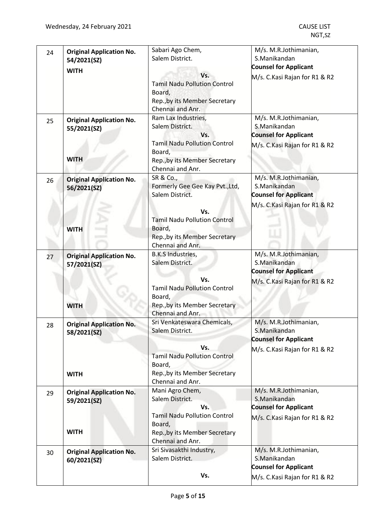| 24 | <b>Original Application No.</b><br>54/2021(SZ) | Sabari Ago Chem,<br>Salem District.                                                                       | M/s. M.R.Jothimanian,<br>S.Manikandan<br><b>Counsel for Applicant</b>                                  |
|----|------------------------------------------------|-----------------------------------------------------------------------------------------------------------|--------------------------------------------------------------------------------------------------------|
|    | <b>WITH</b>                                    | Vs.<br><b>Tamil Nadu Pollution Control</b><br>Board,<br>Rep., by its Member Secretary<br>Chennai and Anr. | M/s. C.Kasi Rajan for R1 & R2                                                                          |
| 25 | <b>Original Application No.</b><br>55/2021(SZ) | Ram Lax Industries,<br>Salem District.<br>Vs.<br><b>Tamil Nadu Pollution Control</b>                      | M/s. M.R.Jothimanian,<br>S.Manikandan<br><b>Counsel for Applicant</b><br>M/s. C.Kasi Rajan for R1 & R2 |
|    | <b>WITH</b>                                    | Board,<br>Rep., by its Member Secretary<br>Chennai and Anr.                                               |                                                                                                        |
| 26 | <b>Original Application No.</b><br>56/2021(SZ) | SR & Co.,<br>Formerly Gee Gee Kay Pvt., Ltd,<br>Salem District.                                           | M/s. M.R.Jothimanian,<br>S.Manikandan<br><b>Counsel for Applicant</b>                                  |
|    | <b>WITH</b>                                    | Vs.<br><b>Tamil Nadu Pollution Control</b><br>Board,<br>Rep., by its Member Secretary<br>Chennai and Anr. | M/s. C.Kasi Rajan for R1 & R2                                                                          |
| 27 | <b>Original Application No.</b><br>57/2021(SZ) | <b>B.K.S Industries,</b><br>Salem District.                                                               | M/s. M.R.Jothimanian,<br>S.Manikandan<br><b>Counsel for Applicant</b>                                  |
|    | <b>WITH</b>                                    | Vs.<br><b>Tamil Nadu Pollution Control</b><br>Board,<br>Rep., by its Member Secretary<br>Chennai and Anr. | M/s. C.Kasi Rajan for R1 & R2                                                                          |
| 28 | <b>Original Application No.</b><br>58/2021(SZ) | Sri Venkateswara Chemicals,<br>Salem District.                                                            | M/s. M.R.Jothimanian,<br>S.Manikandan<br><b>Counsel for Applicant</b>                                  |
|    | <b>WITH</b>                                    | Vs.<br><b>Tamil Nadu Pollution Control</b><br>Board,<br>Rep., by its Member Secretary<br>Chennai and Anr. | M/s. C.Kasi Rajan for R1 & R2                                                                          |
| 29 | <b>Original Application No.</b><br>59/2021(SZ) | Mani Agro Chem,<br>Salem District.<br>Vs.                                                                 | M/s. M.R.Jothimanian,<br>S.Manikandan<br><b>Counsel for Applicant</b>                                  |
|    | <b>WITH</b>                                    | <b>Tamil Nadu Pollution Control</b><br>Board,<br>Rep., by its Member Secretary<br>Chennai and Anr.        | M/s. C.Kasi Rajan for R1 & R2                                                                          |
| 30 | <b>Original Application No.</b><br>60/2021(SZ) | Sri Sivasakthi Industry,<br>Salem District.                                                               | M/s. M.R.Jothimanian,<br>S.Manikandan<br><b>Counsel for Applicant</b>                                  |
|    |                                                | Vs.                                                                                                       | M/s. C.Kasi Rajan for R1 & R2                                                                          |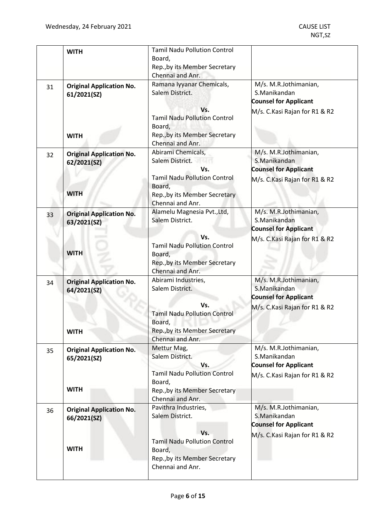|    | <b>WITH</b>                     | <b>Tamil Nadu Pollution Control</b>        |                                |
|----|---------------------------------|--------------------------------------------|--------------------------------|
|    |                                 | Board,                                     |                                |
|    |                                 | Rep., by its Member Secretary              |                                |
|    |                                 | Chennai and Anr.                           |                                |
| 31 | <b>Original Application No.</b> | Ramana Iyyanar Chemicals,                  | M/s. M.R.Jothimanian,          |
|    | 61/2021(SZ)                     | Salem District.                            | S.Manikandan                   |
|    |                                 |                                            | <b>Counsel for Applicant</b>   |
|    |                                 | Vs.                                        | M/s. C.Kasi Rajan for R1 & R2  |
|    |                                 | <b>Tamil Nadu Pollution Control</b>        |                                |
|    |                                 | Board,                                     |                                |
|    | <b>WITH</b>                     | Rep., by its Member Secretary              |                                |
|    |                                 | Chennai and Anr.                           |                                |
|    |                                 | Abirami Chemicals,                         | M/s. M.R.Jothimanian,          |
| 32 | <b>Original Application No.</b> | Salem District.                            | S.Manikandan                   |
|    | 62/2021(SZ)                     | Vs.                                        | <b>Counsel for Applicant</b>   |
|    |                                 |                                            |                                |
|    |                                 | <b>Tamil Nadu Pollution Control</b>        | M/s. C. Kasi Rajan for R1 & R2 |
|    | <b>WITH</b>                     | Board,                                     |                                |
|    |                                 | Rep., by its Member Secretary              |                                |
|    |                                 | Chennai and Anr.                           |                                |
| 33 | <b>Original Application No.</b> | Alamelu Magnesia Pvt., Ltd,                | M/s. M.R.Jothimanian,          |
|    | 63/2021(SZ)                     | Salem District.                            | S.Manikandan                   |
|    |                                 |                                            | <b>Counsel for Applicant</b>   |
|    |                                 | Vs.                                        | M/s. C.Kasi Rajan for R1 & R2  |
|    |                                 | <b>Tamil Nadu Pollution Control</b>        |                                |
|    | <b>WITH</b>                     | Board,                                     |                                |
|    |                                 | Rep., by its Member Secretary              |                                |
|    |                                 | Chennai and Anr.                           |                                |
| 34 | <b>Original Application No.</b> | Abirami Industries,                        | M/s. M.R.Jothimanian,          |
|    | 64/2021(SZ)                     | Salem District.                            | S.Manikandan                   |
|    |                                 |                                            | <b>Counsel for Applicant</b>   |
|    |                                 | Vs.                                        | M/s. C.Kasi Rajan for R1 & R2  |
|    |                                 | <b>Tamil Nadu Pollution Control</b>        |                                |
|    |                                 | Board,                                     |                                |
|    | <b>WITH</b>                     | Rep., by its Member Secretary              |                                |
|    |                                 | Chennai and Anr.                           |                                |
|    |                                 | Mettur Mag,                                | M/s. M.R.Jothimanian,          |
| 35 | <b>Original Application No.</b> | Salem District.                            | S.Manikandan                   |
|    | 65/2021(SZ)                     |                                            |                                |
|    |                                 | Vs.<br><b>Tamil Nadu Pollution Control</b> | <b>Counsel for Applicant</b>   |
|    |                                 |                                            | M/s. C.Kasi Rajan for R1 & R2  |
|    | <b>WITH</b>                     | Board,                                     |                                |
|    |                                 | Rep., by its Member Secretary              |                                |
|    |                                 | Chennai and Anr.                           |                                |
| 36 | <b>Original Application No.</b> | Pavithra Industries,                       | M/s. M.R.Jothimanian,          |
|    | 66/2021(SZ)                     | Salem District.                            | S.Manikandan                   |
|    |                                 |                                            | <b>Counsel for Applicant</b>   |
|    |                                 | Vs.                                        | M/s. C.Kasi Rajan for R1 & R2  |
|    |                                 | <b>Tamil Nadu Pollution Control</b>        |                                |
|    | <b>WITH</b>                     | Board,                                     |                                |
|    |                                 |                                            |                                |
|    |                                 | Rep., by its Member Secretary              |                                |
|    |                                 | Chennai and Anr.                           |                                |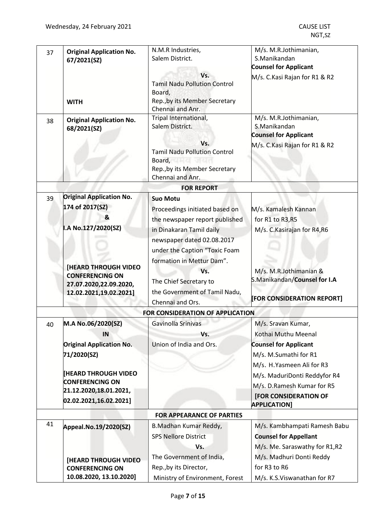| 37 | <b>Original Application No.</b><br>67/2021(SZ)                                                            | N.M.R Industries,<br>Salem District.                                                                                                                                                                                                                           | M/s. M.R.Jothimanian,<br>S.Manikandan<br><b>Counsel for Applicant</b>                                                                             |
|----|-----------------------------------------------------------------------------------------------------------|----------------------------------------------------------------------------------------------------------------------------------------------------------------------------------------------------------------------------------------------------------------|---------------------------------------------------------------------------------------------------------------------------------------------------|
|    | <b>WITH</b>                                                                                               | Vs.<br><b>Tamil Nadu Pollution Control</b><br>Board,<br>Rep., by its Member Secretary<br>Chennai and Anr.                                                                                                                                                      | M/s. C.Kasi Rajan for R1 & R2                                                                                                                     |
| 38 | <b>Original Application No.</b><br>68/2021(SZ)                                                            | Tripal International,<br>Salem District.<br>Vs.<br><b>Tamil Nadu Pollution Control</b><br>Board, and the state of the state of the state of the state of the state of the state of the state of the state<br>Rep., by its Member Secretary<br>Chennai and Anr. | M/s. M.R.Jothimanian,<br>S.Manikandan<br><b>Counsel for Applicant</b><br>M/s. C.Kasi Rajan for R1 & R2                                            |
|    |                                                                                                           | <b>FOR REPORT</b>                                                                                                                                                                                                                                              |                                                                                                                                                   |
| 39 | <b>Original Application No.</b><br>174 of 2017(SZ)<br>&                                                   | <b>Suo Motu</b><br>Proceedings initiated based on<br>the newspaper report published                                                                                                                                                                            | M/s. Kamalesh Kannan<br>for R1 to R3, R5                                                                                                          |
|    | I.A No.127/2020(SZ)                                                                                       | in Dinakaran Tamil daily<br>newspaper dated 02.08.2017<br>under the Caption "Toxic Foam<br>formation in Mettur Dam".                                                                                                                                           | M/s. C.Kasirajan for R4,R6                                                                                                                        |
|    | <b>[HEARD THROUGH VIDEO</b><br><b>CONFERENCING ON</b><br>27.07.2020,22.09.2020,<br>12.02.2021,19.02.2021] | Vs.<br>The Chief Secretary to<br>the Government of Tamil Nadu,<br>Chennai and Ors.                                                                                                                                                                             | M/s. M.R.Jothimanian &<br>S.Manikandan/Counsel for I.A<br>[FOR CONSIDERATION REPORT]                                                              |
|    |                                                                                                           | FOR CONSIDERATION OF APPLICATION                                                                                                                                                                                                                               |                                                                                                                                                   |
| 40 | M.A No.06/2020(SZ)<br>IN                                                                                  | Gavinolla Srinivas<br>Vs.                                                                                                                                                                                                                                      | M/s. Sravan Kumar,<br>Kothai Muthu Meenal                                                                                                         |
|    | <b>Original Application No.</b><br>71/2020(SZ)<br><b>[HEARD THROUGH VIDEO</b><br><b>CONFERENCING ON</b>   | Union of India and Ors.                                                                                                                                                                                                                                        | <b>Counsel for Applicant</b><br>M/s. M.Sumathi for R1<br>M/s. H. Yasmeen Ali for R3<br>M/s. MaduriDonti Reddyfor R4<br>M/s. D.Ramesh Kumar for R5 |
|    | 21.12.2020,18.01.2021,<br>02.02.2021,16.02.2021]                                                          |                                                                                                                                                                                                                                                                | <b>[FOR CONSIDERATION OF</b>                                                                                                                      |
|    |                                                                                                           |                                                                                                                                                                                                                                                                | <b>APPLICATION]</b>                                                                                                                               |
|    |                                                                                                           | <b>FOR APPEARANCE OF PARTIES</b>                                                                                                                                                                                                                               |                                                                                                                                                   |
| 41 | Appeal.No.19/2020(SZ)                                                                                     | B.Madhan Kumar Reddy,                                                                                                                                                                                                                                          | M/s. Kambhampati Ramesh Babu                                                                                                                      |
|    |                                                                                                           | <b>SPS Nellore District</b>                                                                                                                                                                                                                                    | <b>Counsel for Appellant</b>                                                                                                                      |
|    |                                                                                                           | Vs.                                                                                                                                                                                                                                                            | M/s. Me. Saraswathy for R1,R2                                                                                                                     |
|    | [HEARD THROUGH VIDEO                                                                                      | The Government of India,                                                                                                                                                                                                                                       | M/s. Madhuri Donti Reddy                                                                                                                          |
|    | <b>CONFERENCING ON</b>                                                                                    | Rep., by its Director,                                                                                                                                                                                                                                         | for R3 to R6                                                                                                                                      |
|    | 10.08.2020, 13.10.2020]                                                                                   | Ministry of Environment, Forest                                                                                                                                                                                                                                | M/s. K.S.Viswanathan for R7                                                                                                                       |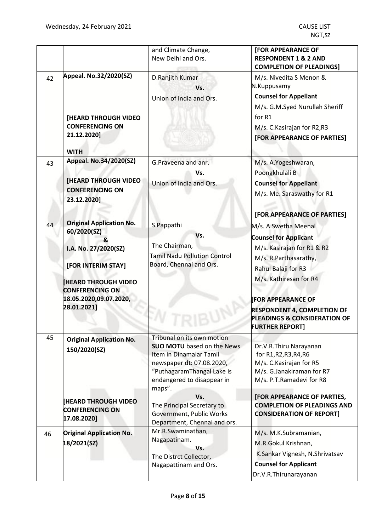|    |                                                                                                                                                                                                    | and Climate Change,<br>New Delhi and Ors.                                                                                                                                                                                                                                                      | <b>[FOR APPEARANCE OF</b><br><b>RESPONDENT 1 &amp; 2 AND</b><br><b>COMPLETION OF PLEADINGS]</b>                                                                                                                                                                                                    |
|----|----------------------------------------------------------------------------------------------------------------------------------------------------------------------------------------------------|------------------------------------------------------------------------------------------------------------------------------------------------------------------------------------------------------------------------------------------------------------------------------------------------|----------------------------------------------------------------------------------------------------------------------------------------------------------------------------------------------------------------------------------------------------------------------------------------------------|
| 42 | Appeal. No.32/2020(SZ)<br>[HEARD THROUGH VIDEO<br><b>CONFERENCING ON</b><br>21.12.2020]<br><b>WITH</b>                                                                                             | D.Ranjith Kumar<br>Vs.<br>Union of India and Ors.                                                                                                                                                                                                                                              | M/s. Nivedita S Menon &<br>N.Kuppusamy<br><b>Counsel for Appellant</b><br>M/s. G.M.Syed Nurullah Sheriff<br>for R1<br>M/s. C. Kasirajan for R2, R3<br>[FOR APPEARANCE OF PARTIES]                                                                                                                  |
| 43 | Appeal. No.34/2020(SZ)<br><b>[HEARD THROUGH VIDEO</b><br><b>CONFERENCING ON</b><br>23.12.2020]                                                                                                     | G.Praveena and anr.<br>Vs.<br>Union of India and Ors.                                                                                                                                                                                                                                          | M/s. A.Yogeshwaran,<br>Poongkhulali B<br><b>Counsel for Appellant</b><br>M/s. Me. Saraswathy for R1<br>[FOR APPEARANCE OF PARTIES]                                                                                                                                                                 |
| 44 | <b>Original Application No.</b><br>60/2020(SZ)<br>&<br>I.A. No. 27/2020(SZ)<br>[FOR INTERIM STAY]<br><b>HEARD THROUGH VIDEO</b><br><b>CONFERENCING ON</b><br>18.05.2020,09.07.2020,<br>28.01.2021] | S.Pappathi<br>Vs.<br>The Chairman,<br><b>Tamil Nadu Pollution Control</b><br>Board, Chennai and Ors.                                                                                                                                                                                           | M/s. A.Swetha Meenal<br><b>Counsel for Applicant</b><br>M/s. Kasirajan for R1 & R2<br>M/s. R.Parthasarathy,<br>Rahul Balaji for R3<br>M/s. Kathiresan for R4<br><b>FOR APPEARANCE OF</b><br><b>RESPONDENT 4, COMPLETION OF</b><br><b>PLEADINGS &amp; CONSIDERATION OF</b><br><b>URTHER REPORT]</b> |
| 45 | <b>Original Application No.</b><br>150/2020(SZ)<br><b>THEARD THROUGH VIDEO</b><br><b>CONFERENCING ON</b><br>17.08.2020]                                                                            | Tribunal on its own motion<br><b>SUO MOTU</b> based on the News<br>Item in Dinamalar Tamil<br>newspaper dt: 07.08.2020,<br>"PuthagaramThangal Lake is<br>endangered to disappear in<br>maps".<br>Vs.<br>The Principal Secretary to<br>Government, Public Works<br>Department, Chennai and ors. | Dr.V.R.Thiru Narayanan<br>for R1, R2, R3, R4, R6<br>M/s. C. Kasirajan for R5<br>M/s. G.Janakiraman for R7<br>M/s. P.T.Ramadevi for R8<br>[FOR APPEARANCE OF PARTIES,<br><b>COMPLETION OF PLEADINGS AND</b><br><b>CONSIDERATION OF REPORT]</b>                                                      |
| 46 | <b>Original Application No.</b><br>18/2021(SZ)                                                                                                                                                     | Mr.R.Swaminathan,<br>Nagapatinam.<br>Vs.<br>The Distrct Collector,<br>Nagapattinam and Ors.                                                                                                                                                                                                    | M/s. M.K.Subramanian,<br>M.R.Gokul Krishnan,<br>K.Sankar Vignesh, N.Shrivatsav<br><b>Counsel for Applicant</b><br>Dr.V.R.Thirunarayanan                                                                                                                                                            |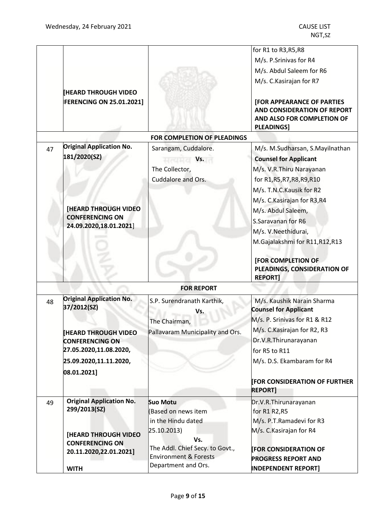|    |                                                      |                                                         | for R1 to R3, R5, R8                                                                                                |
|----|------------------------------------------------------|---------------------------------------------------------|---------------------------------------------------------------------------------------------------------------------|
|    |                                                      |                                                         | M/s. P.Srinivas for R4                                                                                              |
|    |                                                      |                                                         | M/s. Abdul Saleem for R6                                                                                            |
|    |                                                      |                                                         | M/s. C. Kasirajan for R7                                                                                            |
|    | <b>[HEARD THROUGH VIDEO</b>                          |                                                         |                                                                                                                     |
|    | <b>FERENCING ON 25.01.2021]</b>                      |                                                         | <b>[FOR APPEARANCE OF PARTIES</b><br>AND CONSIDERATION OF REPORT<br>AND ALSO FOR COMPLETION OF<br><b>PLEADINGS]</b> |
|    |                                                      | <b>FOR COMPLETION OF PLEADINGS</b>                      |                                                                                                                     |
| 47 | <b>Original Application No.</b>                      | Sarangam, Cuddalore.                                    | M/s. M.Sudharsan, S.Mayilnathan                                                                                     |
|    | 181/2020(SZ)                                         | Vs.<br>मत्यमत                                           | <b>Counsel for Applicant</b>                                                                                        |
|    |                                                      | The Collector,                                          | M/s. V.R.Thiru Narayanan                                                                                            |
|    |                                                      | Cuddalore and Ors.                                      | for R1, R5, R7, R8, R9, R10                                                                                         |
|    |                                                      |                                                         | M/s. T.N.C. Kausik for R2                                                                                           |
|    |                                                      |                                                         | M/s. C. Kasirajan for R3, R4                                                                                        |
|    | <b>[HEARD THROUGH VIDEO</b>                          |                                                         | M/s. Abdul Saleem,                                                                                                  |
|    | <b>CONFERENCING ON</b>                               |                                                         | S.Saravanan for R6                                                                                                  |
|    | 24.09.2020,18.01.2021]                               |                                                         | M/s. V.Neethidurai,                                                                                                 |
|    |                                                      |                                                         | M.Gajalakshmi for R11, R12, R13                                                                                     |
|    |                                                      |                                                         |                                                                                                                     |
|    |                                                      |                                                         | [FOR COMPLETION OF<br>PLEADINGS, CONSIDERATION OF<br><b>REPORT]</b>                                                 |
|    |                                                      | <b>FOR REPORT</b>                                       |                                                                                                                     |
| 48 | <b>Original Application No.</b><br>37/2012(SZ)       | S.P. Surendranath Karthik,                              | M/s. Kaushik Narain Sharma<br><b>Counsel for Applicant</b>                                                          |
|    |                                                      | Vs.                                                     | M/s. P. Srinivas for R1 & R12                                                                                       |
|    |                                                      | The Chairman,                                           | M/s. C. Kasirajan for R2, R3                                                                                        |
|    | <b>HEARD THROUGH VIDEO</b><br><b>CONFERENCING ON</b> | Pallavaram Municipality and Ors.                        | Dr.V.R.Thirunarayanan                                                                                               |
|    | 27.05.2020,11.08.2020,                               |                                                         | for R5 to R11                                                                                                       |
|    | 25.09.2020,11.11.2020,                               |                                                         | M/s. D.S. Ekambaram for R4                                                                                          |
|    | 08.01.2021]                                          |                                                         |                                                                                                                     |
|    |                                                      |                                                         | <b>FOR CONSIDERATION OF FURTHER</b>                                                                                 |
|    |                                                      |                                                         | <b>REPORT1</b>                                                                                                      |
| 49 | <b>Original Application No.</b>                      | <b>Suo Motu</b>                                         | Dr.V.R.Thirunarayanan                                                                                               |
|    | 299/2013(SZ)                                         | (Based on news item                                     | for R1 R2, R5                                                                                                       |
|    |                                                      | in the Hindu dated                                      | M/s. P.T.Ramadevi for R3                                                                                            |
|    | <b>[HEARD THROUGH VIDEO</b>                          | 25.10.2013)                                             | M/s. C. Kasirajan for R4                                                                                            |
|    | <b>CONFERENCING ON</b>                               | Vs.                                                     |                                                                                                                     |
|    | 20.11.2020,22.01.2021]                               | The Addl. Chief Secy. to Govt.,                         | <b>FOR CONSIDERATION OF</b>                                                                                         |
|    |                                                      | <b>Environment &amp; Forests</b><br>Department and Ors. | <b>PROGRESS REPORT AND</b>                                                                                          |
|    | <b>WITH</b>                                          |                                                         | <b>INDEPENDENT REPORT]</b>                                                                                          |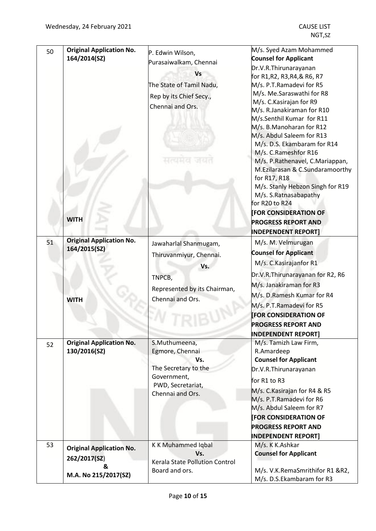| 50 | <b>Original Application No.</b><br>164/2014(SZ)<br><b>WITH</b> | P. Edwin Wilson,<br>Purasaiwalkam, Chennai<br><b>Vs</b><br>The State of Tamil Nadu,<br>Rep by its Chief Secy.,<br>Chennai and Ors.<br>मत्वमत | M/s. Syed Azam Mohammed<br><b>Counsel for Applicant</b><br>Dr.V.R.Thirunarayanan<br>for R1, R2, R3, R4, & R6, R7<br>M/s. P.T.Ramadevi for R5<br>M/s. Me.Saraswathi for R8<br>M/s. C. Kasirajan for R9<br>M/s. R.Janakiraman for R10<br>M/s.Senthil Kumar for R11<br>M/s. B.Manoharan for R12<br>M/s. Abdul Saleem for R13<br>M/s. D.S. Ekambaram for R14<br>M/s. C.Rameshfor R16<br>M/s. P.Rathenavel, C.Mariappan,<br>M.Ezilarasan & C.Sundaramoorthy<br>for R17, R18<br>M/s. Stanly Hebzon Singh for R19<br>M/s. S.Ratnasabapathy<br>for R20 to R24<br><b>FOR CONSIDERATION OF</b> |
|----|----------------------------------------------------------------|----------------------------------------------------------------------------------------------------------------------------------------------|--------------------------------------------------------------------------------------------------------------------------------------------------------------------------------------------------------------------------------------------------------------------------------------------------------------------------------------------------------------------------------------------------------------------------------------------------------------------------------------------------------------------------------------------------------------------------------------|
|    |                                                                |                                                                                                                                              | <b>PROGRESS REPORT AND</b><br><b>INDEPENDENT REPORT]</b>                                                                                                                                                                                                                                                                                                                                                                                                                                                                                                                             |
| 51 | <b>Original Application No.</b><br>164/2015(SZ)<br><b>WITH</b> | Jawaharlal Shanmugam,<br>Thiruvanmiyur, Chennai.<br>Vs.<br>TNPCB,<br>Represented by its Chairman,<br>Chennai and Ors.                        | M/s. M. Velmurugan<br><b>Counsel for Applicant</b><br>M/s. C. Kasirajanfor R1<br>Dr.V.R.Thirunarayanan for R2, R6<br>M/s. Janakiraman for R3<br>M/s. D.Ramesh Kumar for R4<br>M/s. P.T.Ramadevi for R5<br><b>FOR CONSIDERATION OF</b><br><b>PROGRESS REPORT AND</b><br><b>INDEPENDENT REPORT1</b>                                                                                                                                                                                                                                                                                    |
| 52 | <b>Original Application No.</b><br>130/2016(SZ)                | S.Muthumeena,<br>Egmore, Chennai<br>Vs.<br>The Secretary to the<br>Government,<br>PWD, Secretariat,<br>Chennai and Ors.                      | M/s. Tamizh Law Firm,<br>R.Amardeep<br><b>Counsel for Applicant</b><br>Dr.V.R.Thirunarayanan<br>for R1 to R3<br>M/s. C. Kasirajan for R4 & R5<br>M/s. P.T.Ramadevi for R6<br>M/s. Abdul Saleem for R7<br><b>[FOR CONSIDERATION OF</b><br><b>PROGRESS REPORT AND</b><br><b>INDEPENDENT REPORT]</b>                                                                                                                                                                                                                                                                                    |
| 53 | <b>Original Application No.</b><br>262/2017(SZ)<br>&           | K K Muhammed Iqbal<br>Vs.<br>Kerala State Pollution Control                                                                                  | M/s. K K.Ashkar<br><b>Counsel for Applicant</b>                                                                                                                                                                                                                                                                                                                                                                                                                                                                                                                                      |
|    | M.A. No 215/2017(SZ)                                           | Board and ors.                                                                                                                               | M/s. V.K.RemaSmrithifor R1 &R2,<br>M/s. D.S.Ekambaram for R3                                                                                                                                                                                                                                                                                                                                                                                                                                                                                                                         |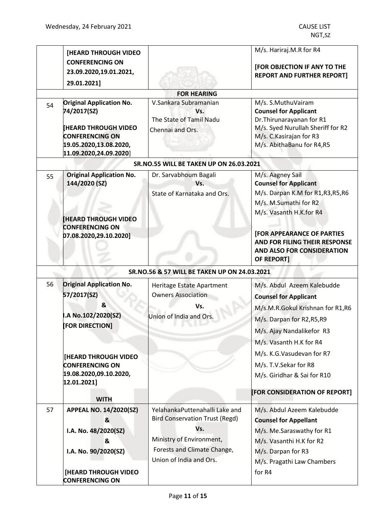|    | <b>[HEARD THROUGH VIDEO</b><br><b>CONFERENCING ON</b> |                                                | M/s. Hariraj.M.R for R4                                           |
|----|-------------------------------------------------------|------------------------------------------------|-------------------------------------------------------------------|
|    | 23.09.2020,19.01.2021,                                |                                                | [FOR OBJECTION IF ANY TO THE<br><b>REPORT AND FURTHER REPORT]</b> |
|    | 29.01.2021]                                           |                                                |                                                                   |
|    |                                                       | <b>FOR HEARING</b>                             |                                                                   |
| 54 | <b>Original Application No.</b><br>74/2017(SZ)        | V.Sankara Subramanian<br>Vs.                   | M/s. S.MuthuVairam<br><b>Counsel for Applicant</b>                |
|    |                                                       | The State of Tamil Nadu                        | Dr. Thirunarayanan for R1                                         |
|    | <b>[HEARD THROUGH VIDEO</b><br><b>CONFERENCING ON</b> | Chennai and Ors.                               | M/s. Syed Nurullah Sheriff for R2<br>M/s. C. Kasirajan for R3     |
|    | 19.05.2020,13.08.2020,                                |                                                | M/s. AbithaBanu for R4,R5                                         |
|    | 11.09.2020,24.09.2020]                                |                                                |                                                                   |
|    |                                                       | <b>SR.NO.55 WILL BE TAKEN UP ON 26.03.2021</b> |                                                                   |
| 55 | <b>Original Application No.</b>                       | Dr. Sarvabhoum Bagali                          | M/s. Aagney Sail                                                  |
|    | 144/2020 (SZ)                                         | Vs.                                            | <b>Counsel for Applicant</b>                                      |
|    |                                                       | State of Karnataka and Ors.                    | M/s. Darpan K.M for R1,R3,R5,R6                                   |
|    |                                                       |                                                | M/s. M.Sumathi for R2                                             |
|    |                                                       |                                                | M/s. Vasanth H.K.for R4                                           |
|    | <b>HEARD THROUGH VIDEO</b><br><b>CONFERENCING ON</b>  |                                                |                                                                   |
|    | 07.08.2020,29.10.2020]                                |                                                | <b>[FOR APPEARANCE OF PARTIES</b>                                 |
|    |                                                       |                                                | AND FOR FILING THEIR RESPONSE                                     |
|    |                                                       |                                                | AND ALSO FOR CONSIDERATION                                        |
|    |                                                       |                                                | OF REPORT]                                                        |
|    |                                                       | SR.NO.56 & 57 WILL BE TAKEN UP ON 24.03.2021   |                                                                   |
| 56 | <b>Driginal Application No.</b>                       | Heritage Estate Apartment                      | M/s. Abdul Azeem Kalebudde                                        |
|    | 57/2017(SZ)                                           | <b>Owners Association</b>                      | <b>Counsel for Applicant</b>                                      |
|    | &                                                     | Vs.                                            | M/s.M.R.Gokul Krishnan for R1,R6                                  |
|    | .A No.102/2020(SZ)                                    | Union of India and Ors.                        | M/s. Darpan for R2, R5, R9                                        |
|    | [FOR DIRECTION]                                       |                                                | M/s. Ajay Nandalikefor R3                                         |
|    |                                                       |                                                | M/s. Vasanth H.K for R4                                           |
|    | <b>[HEARD THROUGH VIDEO</b>                           |                                                | M/s. K.G. Vasudevan for R7                                        |
|    | <b>CONFERENCING ON</b>                                |                                                | M/s. T.V. Sekar for R8                                            |
|    | 19.08.2020,09.10.2020,<br>12.01.2021                  |                                                | M/s. Giridhar & Sai for R10                                       |
|    |                                                       |                                                | [FOR CONSIDERATION OF REPORT]                                     |
|    | <b>WITH</b>                                           |                                                |                                                                   |
| 57 | <b>APPEAL NO. 14/2020(SZ)</b>                         | YelahankaPuttenahalli Lake and                 | M/s. Abdul Azeem Kalebudde                                        |
|    | &                                                     | <b>Bird Conservation Trust (Regd)</b>          | <b>Counsel for Appellant</b>                                      |
|    | I.A. No. 48/2020(SZ)                                  | Vs.                                            | M/s. Me.Saraswathy for R1                                         |
|    | &                                                     | Ministry of Environment,                       | M/s. Vasanthi H.K for R2                                          |
|    | I.A. No. 90/2020(SZ)                                  | Forests and Climate Change,                    | M/s. Darpan for R3                                                |
|    |                                                       | Union of India and Ors.                        | M/s. Pragathi Law Chambers                                        |
|    | [HEARD THROUGH VIDEO                                  |                                                | for R4                                                            |
|    | <b>CONFERENCING ON</b>                                |                                                |                                                                   |
|    |                                                       |                                                |                                                                   |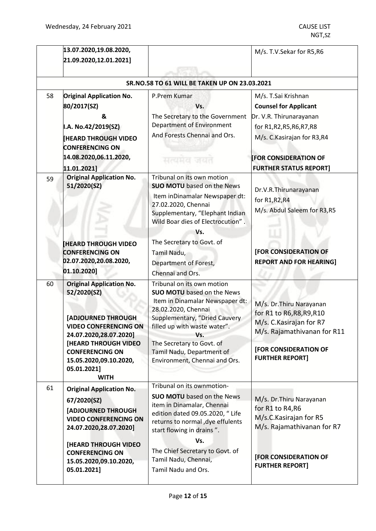|    | 13.07.2020,19.08.2020,                                                                                        |                                                                                                                                                                                                  | M/s. T.V.Sekar for R5,R6                                                                             |
|----|---------------------------------------------------------------------------------------------------------------|--------------------------------------------------------------------------------------------------------------------------------------------------------------------------------------------------|------------------------------------------------------------------------------------------------------|
|    | 21.09.2020,12.01.2021]                                                                                        |                                                                                                                                                                                                  |                                                                                                      |
|    |                                                                                                               |                                                                                                                                                                                                  |                                                                                                      |
|    |                                                                                                               | SR.NO.58 TO 61 WILL BE TAKEN UP ON 23.03.2021                                                                                                                                                    |                                                                                                      |
| 58 | <b>Original Application No.</b>                                                                               | P.Prem Kumar                                                                                                                                                                                     | M/s. T.Sai Krishnan                                                                                  |
|    | 80/2017(SZ)                                                                                                   | Vs.                                                                                                                                                                                              | <b>Counsel for Applicant</b>                                                                         |
|    | &                                                                                                             | The Secretary to the Government                                                                                                                                                                  | Dr. V.R. Thirunarayanan                                                                              |
|    | I.A. No.42/2019(SZ)                                                                                           | <b>Department of Environment</b>                                                                                                                                                                 | for R1, R2, R5, R6, R7, R8                                                                           |
|    | <b>HEARD THROUGH VIDEO</b><br><b>CONFERENCING ON</b>                                                          | And Forests Chennai and Ors.                                                                                                                                                                     | M/s. C. Kasirajan for R3, R4                                                                         |
|    | 14.08.2020,06.11.2020,                                                                                        | सत्यमय जयत                                                                                                                                                                                       | <b>FOR CONSIDERATION OF</b>                                                                          |
|    | 11.01.2021]                                                                                                   |                                                                                                                                                                                                  | <b>FURTHER STATUS REPORT]</b>                                                                        |
| 59 | <b>Original Application No.</b><br>51/2020(SZ)                                                                | Tribunal on its own motion<br><b>SUO MOTU</b> based on the News<br>Item inDinamalar Newspaper dt:<br>27.02.2020, Chennai<br>Supplementary, "Elephant Indian<br>Wild Boar dies of Electrocution". | Dr.V.R.Thirunarayanan<br>for R1, R2, R4<br>M/s. Abdul Saleem for R3,R5                               |
|    |                                                                                                               | Vs.                                                                                                                                                                                              |                                                                                                      |
|    | <b>HEARD THROUGH VIDEO</b><br><b>CONFERENCING ON</b><br>02.07.2020,20.08.2020,<br>01.10.2020]                 | The Secretary to Govt. of<br>Tamil Nadu,<br>Department of Forest,<br>Chennai and Ors.                                                                                                            | <b>[FOR CONSIDERATION OF</b><br><b>REPORT AND FOR HEARING]</b>                                       |
| 60 | <b>Original Application No.</b><br>52/2020(SZ)                                                                | Tribunal on its own motion<br><b>SUO MOTU</b> based on the News<br>Item in Dinamalar Newspaper dt:<br>28.02.2020, Chennai                                                                        | M/s. Dr. Thiru Narayanan                                                                             |
|    | [ADJOURNED THROUGH<br><b>VIDEO CONFERENCING ON</b><br>24.07.2020,28.07.2020]                                  | Supplementary, "Dried Cauvery<br>filled up with waste water".<br>Vs.                                                                                                                             | for R1 to R6, R8, R9, R10<br>M/s. C. Kasirajan for R7<br>M/s. Rajamathivanan for R11                 |
|    | <b>[HEARD THROUGH VIDEO</b><br><b>CONFERENCING ON</b><br>15.05.2020,09.10.2020,<br>05.01.2021]<br><b>WITH</b> | The Secretary to Govt. of<br>Tamil Nadu, Department of<br>Environment, Chennai and Ors.                                                                                                          | [FOR CONSIDERATION OF<br><b>FURTHER REPORT]</b>                                                      |
| 61 | <b>Original Application No.</b>                                                                               | Tribunal on its ownmotion-                                                                                                                                                                       |                                                                                                      |
|    | 67/2020(SZ)<br><b>[ADJOURNED THROUGH</b><br><b>VIDEO CONFERENCING ON</b><br>24.07.2020,28.07.2020]            | <b>SUO MOTU</b> based on the News<br>item in Dinamalar, Chennai<br>edition dated 09.05.2020, " Life<br>returns to normal , dye effulents<br>start flowing in drains".<br>Vs.                     | M/s. Dr. Thiru Narayanan<br>for R1 to R4, R6<br>M/s.C.Kasirajan for R5<br>M/s. Rajamathivanan for R7 |
|    | <b>[HEARD THROUGH VIDEO</b><br><b>CONFERENCING ON</b><br>15.05.2020,09.10.2020,<br>05.01.2021]                | The Chief Secretary to Govt. of<br>Tamil Nadu, Chennai,<br>Tamil Nadu and Ors.                                                                                                                   | [FOR CONSIDERATION OF<br><b>FURTHER REPORT]</b>                                                      |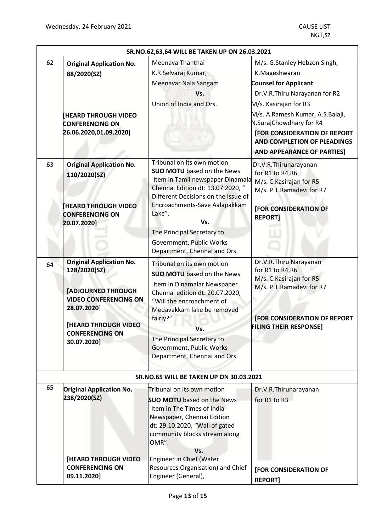| SR.NO.62,63,64 WILL BE TAKEN UP ON 26.03.2021 |                                                                                                                                                                                                     |                                                                                                                                                                                                                                                                                                            |                                                                                                                                                                                                                                                                                                                   |  |  |
|-----------------------------------------------|-----------------------------------------------------------------------------------------------------------------------------------------------------------------------------------------------------|------------------------------------------------------------------------------------------------------------------------------------------------------------------------------------------------------------------------------------------------------------------------------------------------------------|-------------------------------------------------------------------------------------------------------------------------------------------------------------------------------------------------------------------------------------------------------------------------------------------------------------------|--|--|
| 62                                            | <b>Original Application No.</b><br>88/2020(SZ)<br><b>HEARD THROUGH VIDEO</b><br><b>CONFERENCING ON</b><br>26.06.2020,01.09.2020]                                                                    | Meenava Thanthai<br>K.R.Selvaraj Kumar,<br>Meenavar Nala Sangam<br>Vs.<br>Union of India and Ors.                                                                                                                                                                                                          | M/s. G.Stanley Hebzon Singh,<br>K.Mageshwaran<br><b>Counsel for Applicant</b><br>Dr.V.R.Thiru Narayanan for R2<br>M/s. Kasirajan for R3<br>M/s. A.Ramesh Kumar, A.S.Balaji,<br>N.SurajChowdhary for R4<br><b>[FOR CONSIDERATION OF REPORT</b><br>AND COMPLETION OF PLEADINGS<br><b>AND APPEARANCE OF PARTIES]</b> |  |  |
| 63                                            | <b>Original Application No.</b><br>110/2020(SZ)<br><b>HEARD THROUGH VIDEO</b><br><b>CONFERENCING ON</b><br>20.07.2020]                                                                              | Tribunal on its own motion<br><b>SUO MOTU</b> based on the News<br>Item in Tamil newspaper Dinamala<br>Chennai Edition dt: 13.07.2020, "<br>Different Decisions on the Issue of<br>Encroachments-Save Aalapakkam<br>Lake".<br>Vs.<br>The Principal Secretary to<br>Government, Public Works                | Dr.V.R.Thirunarayanan<br>for R1 to R4, R6<br>M/s. C. Kasirajan for R5<br>M/s. P.T.Ramadevi for R7<br><b>[FOR CONSIDERATION OF</b><br><b>REPORT1</b>                                                                                                                                                               |  |  |
|                                               |                                                                                                                                                                                                     | Department, Chennai and Ors.                                                                                                                                                                                                                                                                               |                                                                                                                                                                                                                                                                                                                   |  |  |
| 64                                            | <b>Original Application No.</b><br>128/2020(SZ)<br><b>[ADJOURNED THROUGH</b><br><b>VIDEO CONFERENCING ON</b><br>28.07.2020]<br><b>[HEARD THROUGH VIDEO</b><br><b>CONFERENCING ON</b><br>30.07.2020] | Tribunal on its own motion<br><b>SUO MOTU</b> based on the News<br>Item in Dinamalar Newspaper<br>Chennai edition dt: 20.07.2020,<br>"Will the encroachment of<br>Medavakkam lake be removed<br>fairly?".<br>Vs.<br>The Principal Secretary to<br>Government, Public Works<br>Department, Chennai and Ors. | Dr.V.R.Thiru Narayanan<br>for R1 to R4, R6<br>M/s. C. Kasirajan for R5<br>M/s. P.T.Ramadevi for R7<br>[FOR CONSIDERATION OF REPORT<br><b>FILING THEIR RESPONSE]</b>                                                                                                                                               |  |  |
|                                               |                                                                                                                                                                                                     | <b>SR.NO.65 WILL BE TAKEN UP ON 30.03.2021</b>                                                                                                                                                                                                                                                             |                                                                                                                                                                                                                                                                                                                   |  |  |
| 65                                            | <b>Original Application No.</b><br>238/2020(SZ)<br>[HEARD THROUGH VIDEO                                                                                                                             | Tribunal on its own motion<br><b>SUO MOTU</b> based on the News<br>Item in The Times of India<br>Newspaper, Chennai Edition<br>dt: 29.10.2020, "Wall of gated<br>community blocks stream along<br>OMR".<br>Vs.<br>Engineer in Chief (Water                                                                 | Dr.V.R.Thirunarayanan<br>for R1 to R3                                                                                                                                                                                                                                                                             |  |  |
|                                               | <b>CONFERENCING ON</b><br>09.11.2020]                                                                                                                                                               | Resources Organisation) and Chief<br>Engineer (General),                                                                                                                                                                                                                                                   | [FOR CONSIDERATION OF<br><b>REPORT]</b>                                                                                                                                                                                                                                                                           |  |  |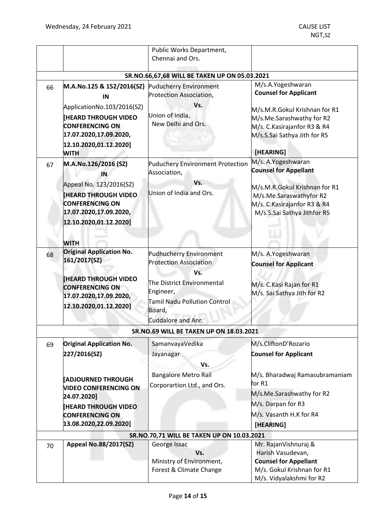|    |                                                                                                                                                                                                  | Public Works Department,                                                                                                                                                                        |                                                                                                                                                                                            |
|----|--------------------------------------------------------------------------------------------------------------------------------------------------------------------------------------------------|-------------------------------------------------------------------------------------------------------------------------------------------------------------------------------------------------|--------------------------------------------------------------------------------------------------------------------------------------------------------------------------------------------|
|    |                                                                                                                                                                                                  | Chennai and Ors.                                                                                                                                                                                |                                                                                                                                                                                            |
|    |                                                                                                                                                                                                  | SR.NO.66,67,68 WILL BE TAKEN UP ON 05.03.2021                                                                                                                                                   |                                                                                                                                                                                            |
| 66 | M.A.No.125 & 152/2016(SZ)<br>IN                                                                                                                                                                  | <b>Puducherry Environment</b><br>Protection Association,                                                                                                                                        | M/s.A.Yogeshwaran<br><b>Counsel for Applicant</b>                                                                                                                                          |
|    | ApplicationNo.103/2016(SZ)<br><b>HEARD THROUGH VIDEO</b><br><b>CONFERENCING ON</b><br>17.07.2020,17.09.2020,<br>12.10.2020,01.12.2020]                                                           | Vs.<br>Union of India,<br>New Delhi and Ors.                                                                                                                                                    | M/s.M.R.Gokul Krishnan for R1<br>M/s.Me.Sarashwathy for R2<br>M/s. C. Kasirajanfor R3 & R4<br>M/s.S.Sai Sathya Jith for R5                                                                 |
| 67 | <b>WITH</b><br>M.A.No.126/2016 (SZ)<br>IN<br>Appeal No. 123/2016(SZ)<br><b>IHEARD THROUGH VIDEO</b><br><b>CONFERENCING ON</b><br>17.07.2020,17.09.2020,<br>12.10.2020,01.12.2020]<br><b>WITH</b> | <b>Puduchery Environment Protection</b><br>Association,<br>Vs.<br>Union of India and Ors.                                                                                                       | [HEARING]<br>M/s. A.Yogeshwaran<br><b>Counsel for Appellant</b><br>M/s.M.R.Gokul Krishnan for R1<br>M/s.Me.Saraswathyfor R2<br>M/s. C. Kasirajanfor R3 & R4<br>M/s.S.Sai Sathya Jithfor R5 |
| 68 | <b>Original Application No.</b><br>161/2017(SZ)<br><b>IHEARD THROUGH VIDEO</b><br><b>CONFERENCING ON</b><br>17.07.2020,17.09.2020,<br>12.10.2020,01.12.2020]                                     | <b>Pudhucherry Environment</b><br><b>Protection Association</b><br>Vs.<br>The District Environmental<br>Engineer,<br><b>Tamil Nadu Pollution Control</b><br>Board,<br><b>Cuddalore and Anr.</b> | M/s. A.Yogeshwaran<br><b>Counsel for Applicant</b><br>M/s. C.Kasi Rajan for R1<br>M/s. Sai Sathya Jith for R2                                                                              |
|    |                                                                                                                                                                                                  | SR.NO.69 WILL BE TAKEN UP ON 18.03.2021                                                                                                                                                         |                                                                                                                                                                                            |
| 69 | <b>Original Application No.</b><br>227/2016(SZ)<br><b>ADJOURNED THROUGH</b>                                                                                                                      | SamanvayaVedika<br>Jayanagar<br>Vs.<br><b>Bangalore Metro Rail</b><br>Corporartion Ltd., and Ors.                                                                                               | M/s.CliftonD'Rozario<br><b>Counsel for Applicant</b><br>M/s. Bharadwaj Ramasubramaniam<br>for R1                                                                                           |
|    | <b>VIDEO CONFERENCING ON</b><br>24.07.2020]<br><b>HEARD THROUGH VIDEO</b><br><b>CONFERENCING ON</b><br>13.08.2020,22.09.2020]                                                                    |                                                                                                                                                                                                 | M/s.Me.Sarashwathy for R2<br>M/s. Darpan for R3<br>M/s. Vasanth H.K for R4<br>[HEARING]                                                                                                    |
|    |                                                                                                                                                                                                  | SR.NO.70,71 WILL BE TAKEN UP ON 10.03.2021                                                                                                                                                      |                                                                                                                                                                                            |
| 70 | <b>Appeal No.88/2017(SZ)</b>                                                                                                                                                                     | George Issac<br>Vs.<br>Ministry of Environment,<br>Forest & Climate Change                                                                                                                      | Mr. RajanVishnuraj &<br>Harish Vasudevan,<br><b>Counsel for Appellant</b><br>M/s. Gokul Krishnan for R1<br>M/s. Vidyalakshmi for R2                                                        |